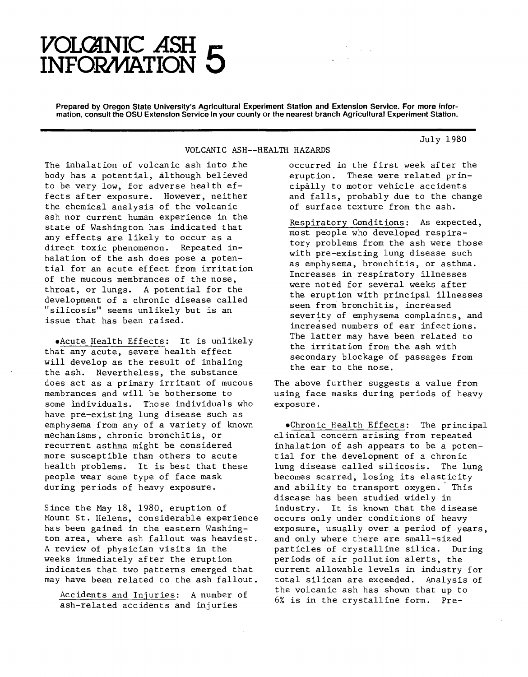## $VOLGANIC ASH E$ **INFOR/WATION O**

Prepared by Oregon State University's Agricultural Experiment Station and Extension Service. For more information, consult the OSU Extension Service in your county or the nearest branch Agricultural Experiment Station.

VOLCANIC ASH--HEALTH HAZARDS

The inhalation of volcanic ash into *the* body has a potential, although believed to be very low, for adverse health effects after exposure. However, neither the chemical analysis of the volcanic ash nor current human experience in the state of Washington has indicated that any effects are likely to occur as a direct toxic phenomenon. Repeated inhalation of the ash does pose a potential for an acute effect from irritation of the mucous membrances of the nose, throat, or lungs. A potential for the development of a chronic disease called "silicosis" seems unlikely but is an issue that has been raised.

•Acute Health Effects: It is unlikely that any acute, severe health effect will develop as the result of inhaling the ash. Nevertheless, the substance does act as a primary irritant of mucous membrances and will be bothersome to some individuals. Those individuals who have pre-existing lung disease such as emphysema from any of a variety of known mechanisms, chronic bronchitis, or recurrent asthma might be considered more susceptible than others to acute health problems. It is best that these people wear some type of face mask during periods of heavy exposure.

Since the May 18, 1980, eruption of Mount St. Helens, considerable experience has been gained in the eastern Washington area, where ash fallout was heaviest. A review of physician visits in the weeks immediately after the eruption indicates that two patterns emerged that may have been related to the ash fallout.

Accidents and Injuries: A number of ash-related accidents and injuries

occurred in the first week after the eruption. These were related principally to motor vehicle accidents and falls, probably due to the change of surface texture from the ash.

July 1980

Respiratory Conditions: As expected, most people who developed respiratory problems from the ash were those with pre-existing lung disease such as emphysema, bronchitis, or asthma. Increases in respiratory illnesses were noted for several weeks after the eruption with principal illnesses seen from bronchitis, increased severity of emphysema complaints, and increased numbers of ear infections. The latter may have been related to the irritation from the ash with secondary blockage of passages from the ear to the nose.

The above further suggests a value from using face masks during periods of heavy exposure.

•Chronic Health Effects: The principal clinical concern arising from repeated inhalation of ash appears to be a potential for the development of a chronic lung disease called silicosis. The lung becomes scarred, losing its elasticity and ability to transport oxygen. This disease has been studied widely in industry. It is known that the disease occurs only under conditions of heavy exposure, usually over a period of years, and only where there are small-sized particles of crystalline silica. During periods of air pollution alerts, the current allowable levels in industry for total silican are exceeded. Analysis of the volcanic ash has shown that up to 6% is in the crystalline form. Pre